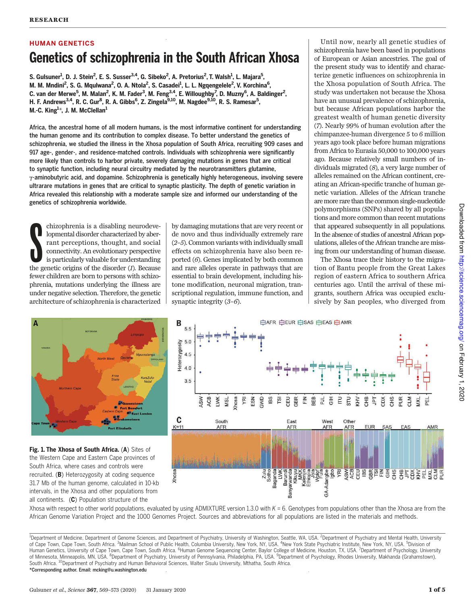# HUMAN GENETICS Genetics of schizophrenia in the South African Xhosa

S. Gulsuner<sup>1</sup>, D. J. Stein<sup>2</sup>, E. S. Susser<sup>3,4</sup>, G. Sibeko<sup>2</sup>, A. Pretorius<sup>2</sup>, T. Walsh<sup>1</sup>, L. Majara<sup>5</sup>, M. M. Mndini<sup>2</sup>, S. G. Mqulwana<sup>2</sup>, O. A. Ntola<sup>2</sup>, S. Casadei<sup>1</sup>, L. L. Ngqengelele<sup>2</sup>, V. Korchina<sup>6</sup>, C. van der Merwe<sup>5</sup>, M. Malan<sup>2</sup>, K. M. Fader<sup>3</sup>, M. Feng<sup>3,4</sup>, E. Willoughby<sup>7</sup>, D. Muzny<sup>6</sup>, A. Baldinger<sup>2</sup>, H. F. Andrews<sup>3,4</sup>, R. C. Gur<sup>8</sup>, R. A. Gibbs<sup>6</sup>, Z. Zingela<sup>9,10</sup>, M. Nagdee<sup>9,10</sup>, R. S. Ramesar<sup>5</sup>, M.-C. King $^{1\star}$ , J. M. McClellan $^{1}$ 

Africa, the ancestral home of all modern humans, is the most informative continent for understanding the human genome and its contribution to complex disease. To better understand the genetics of schizophrenia, we studied the illness in the Xhosa population of South Africa, recruiting 909 cases and 917 age-, gender-, and residence-matched controls. Individuals with schizophrenia were significantly more likely than controls to harbor private, severely damaging mutations in genes that are critical to synaptic function, including neural circuitry mediated by the neurotransmitters glutamine, g-aminobutyric acid, and dopamine. Schizophrenia is genetically highly heterogeneous, involving severe ultrarare mutations in genes that are critical to synaptic plasticity. The depth of genetic variation in Africa revealed this relationship with a moderate sample size and informed our understanding of the genetics of schizophrenia worldwide.

**S** chizophrenia is a disabling neurodevelopmental disorder characterized by aberrant perceptions, thought, and social connectivity. An evolutionary perspective is particularly valuable for understanding the genetic origins of the disorder  $(I)$ . Because fewer children are born to persons with schizophrenia, mutations underlying the illness are under negative selection. Therefore, the genetic architecture of schizophrenia is characterized

by damaging mutations that are very recent or de novo and thus individually extremely rare (2–5). Common variants with individually small effects on schizophrenia have also been reported (6). Genes implicated by both common and rare alleles operate in pathways that are essential to brain development, including histone modification, neuronal migration, transcriptional regulation, immune function, and synaptic integrity (3–6).

Until now, nearly all genetic studies of schizophrenia have been based in populations of European or Asian ancestries. The goal of the present study was to identify and characterize genetic influences on schizophrenia in the Xhosa population of South Africa. The study was undertaken not because the Xhosa have an unusual prevalence of schizophrenia, but because African populations harbor the greatest wealth of human genetic diversity (7). Nearly 99% of human evolution after the chimpanzee-human divergence 5 to 6 million years ago took place before human migrations from Africa to Eurasia 50,000 to 100,000 years ago. Because relatively small numbers of individuals migrated (8), a very large number of alleles remained on the African continent, creating an African-specific tranche of human genetic variation. Alleles of the African tranche are more rare than the common single-nucleotide polymorphisms (SNPs) shared by all populations and more common than recent mutations that appeared subsequently in all populations. In the absence of studies of ancestral African populations, alleles of the African tranche are missing from our understanding of human disease.

The Xhosa trace their history to the migration of Bantu people from the Great Lakes region of eastern Africa to southern Africa centuries ago. Until the arrival of these migrants, southern Africa was occupied exclusively by San peoples, who diverged from



Fig. 1. The Xhosa of South Africa. (A) Sites of the Western Cape and Eastern Cape provinces of South Africa, where cases and controls were recruited. (B) Heterozygosity at coding sequence 31.7 Mb of the human genome, calculated in 10-kb intervals, in the Xhosa and other populations from all continents. (C) Population structure of the



Xhosa with respect to other world populations, evaluated by using ADMIXTURE version 1.3.0 with  $K = 6$ . Genotypes from populations other than the Xhosa are from the African Genome Variation Project and the 1000 Genomes Project. Sources and abbreviations for all populations are listed in the materials and methods.

<sup>&</sup>lt;sup>1</sup>Department of Medicine, Department of Genome Sciences, and Department of Psychiatry, University of Washington, Seattle, WA, USA. <sup>2</sup>Department of Psychiatry and Mental Health, University of Cape Town, Cape Town, South Africa. <sup>3</sup>Mailman School of Public Health, Columbia University, New York, NY, USA. <sup>4</sup>New York State Psychiatric Institute, New York, NY, USA. <sup>5</sup>Division of Human Genetics, University of Cape Town, Cape Town, South Africa. <sup>6</sup>Human Genome Sequencing Center, Baylor College of Medicine, Houston, TX, USA. <sup>7</sup>Department of Psychology, University of Minnesota, Minneapolis, MN, USA. <sup>8</sup>Department of Psychiatry, University of Pennsylvania, Philadelphia, PA, USA. <sup>9</sup>Department of Psychology, Rhodes University, Makhanda (Grahamstown), South Africa. <sup>10</sup>Department of Psychiatry and Human Behavioral Sciences, Walter Sisulu University, Mthatha, South Africa. \*Corresponding author. Email: mcking@u.washington.edu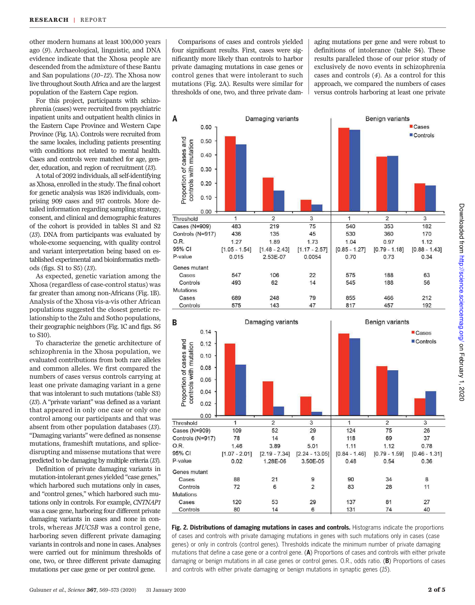other modern humans at least 100,000 years ago (9). Archaeological, linguistic, and DNA evidence indicate that the Xhosa people are descended from the admixture of these Bantu and San populations (10–12). The Xhosa now live throughout South Africa and are the largest population of the Eastern Cape region.

For this project, participants with schizophrenia (cases) were recruited from psychiatric inpatient units and outpatient health clinics in the Eastern Cape Province and Western Cape Province (Fig. 1A). Controls were recruited from the same locales, including patients presenting with conditions not related to mental health. Cases and controls were matched for age, gender, education, and region of recruitment (13).

A total of 2092 individuals, all self-identifying as Xhosa, enrolled in the study. The final cohort for genetic analysis was 1826 individuals, comprising 909 cases and 917 controls. More detailed information regarding sampling strategy, consent, and clinical and demographic features of the cohort is provided in tables S1 and S2 (13). DNA from participants was evaluated by whole-exome sequencing, with quality control and variant interpretation being based on established experimental and bioinformatics methods (figs. S1 to S5) (13).

As expected, genetic variation among the Xhosa (regardless of case-control status) was far greater than among non-Africans (Fig. 1B). Analysis of the Xhosa vis-a-vis other African populations suggested the closest genetic relationship to the Zulu and Sotho populations, their geographic neighbors (Fig. 1C and figs. S6 to S10).

To characterize the genetic architecture of schizophrenia in the Xhosa population, we evaluated contributions from both rare alleles and common alleles. We first compared the numbers of cases versus controls carrying at least one private damaging variant in a gene that was intolerant to such mutations (table S3) (13). A "private variant" was defined as a variant that appeared in only one case or only one control among our participants and that was absent from other population databases (13). "Damaging variants" were defined as nonsense mutations, frameshift mutations, and splicedisrupting and missense mutations that were predicted to be damaging by multiple criteria (13).

Definition of private damaging variants in mutation-intolerant genes yielded "case genes," which harbored such mutations only in cases, and "control genes," which harbored such mutations only in controls. For example, CNTNAP1 was a case gene, harboring four different private damaging variants in cases and none in controls, whereas MUC5B was a control gene, harboring seven different private damaging variants in controls and none in cases. Analyses were carried out for minimum thresholds of one, two, or three different private damaging mutations per case gene or per control gene.

Comparisons of cases and controls yielded four significant results. First, cases were significantly more likely than controls to harbor private damaging mutations in case genes or control genes that were intolerant to such mutations (Fig. 2A). Results were similar for thresholds of one, two, and three private dam-

aging mutations per gene and were robust to definitions of intolerance (table S4). These results paralleled those of our prior study of exclusively de novo events in schizophrenia cases and controls (4). As a control for this approach, we compared the numbers of cases versus controls harboring at least one private





Fig. 2. Distributions of damaging mutations in cases and controls. Histograms indicate the proportions of cases and controls with private damaging mutations in genes with such mutations only in cases (case genes) or only in controls (control genes). Thresholds indicate the minimum number of private damaging mutations that define a case gene or a control gene. (A) Proportions of cases and controls with either private damaging or benign mutations in all case genes or control genes. O.R., odds ratio. (B) Proportions of cases and controls with either private damaging or benign mutations in synaptic genes (*15*).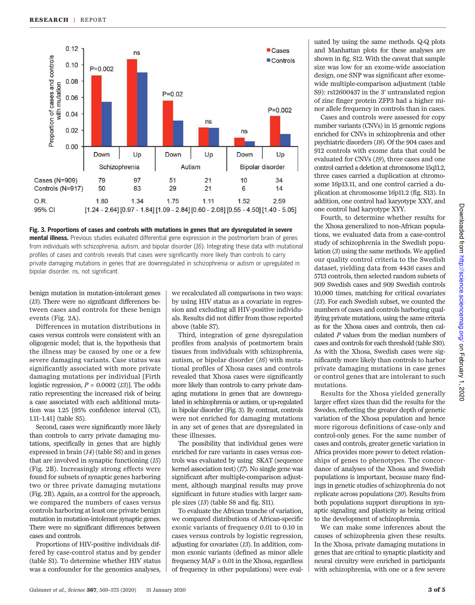

# Fig. 3. Proportions of cases and controls with mutations in genes that are dysregulated in severe

mental illness. Previous studies evaluated differential gene expression in the postmortem brain of genes from individuals with schizophrenia, autism, and bipolar disorder (*16*). Integrating these data with mutational profiles of cases and controls reveals that cases were significantly more likely than controls to carry private damaging mutations in genes that are downregulated in schizophrenia or autism or upregulated in bipolar disorder. ns, not significant.

benign mutation in mutation-intolerant genes (13). There were no significant differences between cases and controls for these benign events (Fig. 2A).

Differences in mutation distributions in cases versus controls were consistent with an oligogenic model; that is, the hypothesis that the illness may be caused by one or a few severe damaging variants. Case status was significantly associated with more private damaging mutations per individual [Firth logistic regression,  $P = 0.0002$  (13). The odds ratio representing the increased risk of being a case associated with each additional mutation was 1.25 [95% confidence interval (CI), 1.11–1.41] (table S5).

Second, cases were significantly more likely than controls to carry private damaging mutations, specifically in genes that are highly expressed in brain (14) (table S6) and in genes that are involved in synaptic functioning (15) (Fig. 2B). Increasingly strong effects were found for subsets of synaptic genes harboring two or three private damaging mutations (Fig. 2B). Again, as a control for the approach, we compared the numbers of cases versus controls harboring at least one private benign mutation in mutation-intolerant synaptic genes. There were no significant differences between cases and controls.

Proportions of HIV-positive individuals differed by case-control status and by gender (table S1). To determine whether HIV status was a confounder for the genomics analyses,

we recalculated all comparisons in two ways: by using HIV status as a covariate in regression and excluding all HIV-positive individuals. Results did not differ from those reported above (table S7).

Third, integration of gene dysregulation profiles from analysis of postmortem brain tissues from individuals with schizophrenia, autism, or bipolar disorder  $(16)$  with mutational profiles of Xhosa cases and controls revealed that Xhosa cases were significantly more likely than controls to carry private damaging mutations in genes that are downregulated in schizophrenia or autism, or up-regulated in bipolar disorder (Fig. 3). By contrast, controls were not enriched for damaging mutations in any set of genes that are dysregulated in these illnesses.

The possibility that individual genes were enriched for rare variants in cases versus controls was evaluated by using SKAT (sequence kernel association test) (17). No single gene was significant after multiple-comparison adjustment, although marginal results may prove significant in future studies with larger sample sizes (13) (table S8 and fig. S11).

To evaluate the African tranche of variation, we compared distributions of African-specific exonic variants of frequency 0.01 to 0.10 in cases versus controls by logistic regression, adjusting for covariates (13). In addition, common exonic variants (defined as minor allele frequency  $MAF \geq 0.01$  in the Xhosa, regardless of frequency in other populations) were eval-

uated by using the same methods. Q-Q plots and Manhattan plots for these analyses are shown in fig. S12. With the caveat that sample size was low for an exome-wide association design, one SNP was significant after exomewide multiple-comparison adjustment (table S9): rs12600437 in the 3′ untranslated region of zinc finger protein ZFP3 had a higher minor allele frequency in controls than in cases.

Cases and controls were assessed for copy number variants (CNVs) in 15 genomic regions enriched for CNVs in schizophrenia and other psychiatric disorders (18). Of the 904 cases and 912 controls with exome data that could be evaluated for CNVs (19), three cases and one control carried a deletion at chromosome 15q11.2, three cases carried a duplication at chromosome 16p13.11, and one control carried a duplication at chromosome 16p11.2 (fig. S13). In addition, one control had karyotype XXY, and one control had karyotype XYY.

Fourth, to determine whether results for the Xhosa generalized to non-African populations, we evaluated data from a case-control study of schizophrenia in the Swedish population (3) using the same methods. We applied our quality control criteria to the Swedish dataset, yielding data from 4436 cases and 5713 controls, then selected random subsets of 909 Swedish cases and 909 Swedish controls 10,000 times, matching for critical covariates (13). For each Swedish subset, we counted the numbers of cases and controls harboring qualifying private mutations, using the same criteria as for the Xhosa cases and controls, then calculated P values from the median numbers of cases and controls for each threshold (table S10). As with the Xhosa, Swedish cases were significantly more likely than controls to harbor private damaging mutations in case genes or control genes that are intolerant to such mutations.

Results for the Xhosa yielded generally larger effect sizes than did the results for the Swedes, reflecting the greater depth of genetic variation of the Xhosa population and hence more rigorous definitions of case-only and control-only genes. For the same number of cases and controls, greater genetic variation in Africa provides more power to detect relationships of genes to phenotypes. The concordance of analyses of the Xhosa and Swedish populations is important, because many findings in genetic studies of schizophrenia do not replicate across populations (20). Results from both populations support disruptions in synaptic signaling and plasticity as being critical to the development of schizophrenia.

We can make some inferences about the causes of schizophrenia given these results. In the Xhosa, private damaging mutations in genes that are critical to synaptic plasticity and neural circuitry were enriched in participants with schizophrenia, with one or a few severe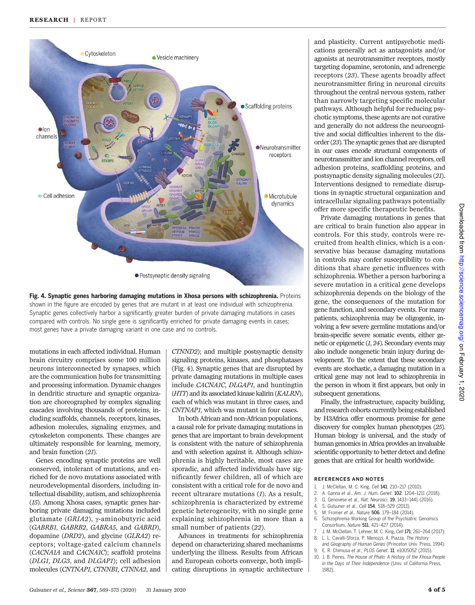



mutations in each affected individual. Human brain circuitry comprises some 100 million neurons interconnected by synapses, which are the communication hubs for transmitting and processing information. Dynamic changes in dendritic structure and synaptic organization are choreographed by complex signaling cascades involving thousands of proteins, including scaffolds, channels, receptors, kinases, adhesion molecules, signaling enzymes, and cytoskeleton components. These changes are ultimately responsible for learning, memory, and brain function (21).

Genes encoding synaptic proteins are well conserved, intolerant of mutations, and enriched for de novo mutations associated with neurodevelopmental disorders, including intellectual disability, autism, and schizophrenia (15). Among Xhosa cases, synaptic genes harboring private damaging mutations included glutamate (GRIA2),  $\gamma$ -aminobutyric acid (GABRB1, GABRB2, GABRA5, and GABRD), dopamine (DRD2), and glycine (GLRA2) receptors; voltage-gated calcium channels (CACNA1A and CACNA1C); scaffold proteins (DLG1, DLG3, and DLGAP1); cell adhesion molecules (CNTNAP1, CTNNB1, CTNNA2, and CTNND2); and multiple postsynaptic density signaling proteins, kinases, and phosphatases (Fig. 4). Synaptic genes that are disrupted by private damaging mutations in multiple cases include CACNA1C, DLGAP1, and huntingtin (HTT) and its associated kinase kalirin (KALRN), each of which was mutant in three cases, and CNTNAP1, which was mutant in four cases.

In both African and non-African populations, a causal role for private damaging mutations in genes that are important to brain development is consistent with the nature of schizophrenia and with selection against it. Although schizophrenia is highly heritable, most cases are sporadic, and affected individuals have significantly fewer children, all of which are consistent with a critical role for de novo and recent ultrarare mutations (1). As a result, schizophrenia is characterized by extreme genetic heterogeneity, with no single gene explaining schizophrenia in more than a small number of patients (22).

Advances in treatments for schizophrenia depend on characterizing shared mechanisms underlying the illness. Results from African and European cohorts converge, both implicating disruptions in synaptic architecture

and plasticity. Current antipsychotic medications generally act as antagonists and/or agonists at neurotransmitter receptors, mostly targeting dopamine, serotonin, and adrenergic receptors (23). These agents broadly affect neurotransmitter firing in neuronal circuits throughout the central nervous system, rather than narrowly targeting specific molecular pathways. Although helpful for reducing psychotic symptoms, these agents are not curative and generally do not address the neurocognitive and social difficulties inherent to the disorder (23). The synaptic genes that are disrupted in our cases encode structural components of neurotransmitter and ion channel receptors, cell adhesion proteins, scaffolding proteins, and postsynaptic density signaling molecules (21). Interventions designed to remediate disruptions in synaptic structural organization and intracellular signaling pathways potentially offer more specific therapeutic benefits.

Private damaging mutations in genes that are critical to brain function also appear in controls. For this study, controls were recruited from health clinics, which is a conservative bias because damaging mutations in controls may confer susceptibility to conditions that share genetic influences with schizophrenia. Whether a person harboring a severe mutation in a critical gene develops schizophrenia depends on the biology of the gene, the consequences of the mutation for gene function, and secondary events. For many patients, schizophrenia may be oligogenic, involving a few severe germline mutations and/or brain-specific severe somatic events, either genetic or epigenetic  $(1, 24)$ . Secondary events may also include nongenetic brain injury during development. To the extent that these secondary events are stochastic, a damaging mutation in a critical gene may not lead to schizophrenia in the person in whom it first appears, but only in subsequent generations.

Finally, the infrastructure, capacity building, and research cohorts currently being established by H3Africa offer enormous promise for gene discovery for complex human phenotypes (25). Human biology is universal, and the study of human genomics in Africa provides an invaluable scientific opportunity to better detect and define genes that are critical for health worldwide.

### REFERENCES AND NOTES

- 1. J. McClellan, M. C. King, *Cell* 141, 210–217 (2010).
- 2. A. Ganna *et al*., *Am. J. Hum. Genet.* 102, 1204–1211 (2018).
- 3. G. Genovese *et al*., *Nat. Neurosci.* 19, 1433–1441 (2016).
- 4. S. Gulsuner *et al*., *Cell* 154, 518–529 (2013).
- 5. M. Fromer *et al*., *Nature* 506, 179–184 (2014).
- 6. Schizophrenia Working Group of the Psychiatric Genomics Consortium, *Nature* 511, 421–427 (2014).
- 7. J. M. McClellan, T. Lehner, M. C. King, *Cell* 171, 261–264 (2017). 8. L. L. Cavalli-Sforza, P. Menozzi, A. Piazza, *The History*
- *and Geography of Human Genes* (Princeton Univ. Press, 1994). 9. E. R. Chimusa *et al*., *PLOS Genet.* 11, e1005052 (2015).
- 10. J. B. Peires, *The House of Phalo: A History of the Xhosa People*
- *in the Days of Their Independence* (Univ. of California Press, 1982).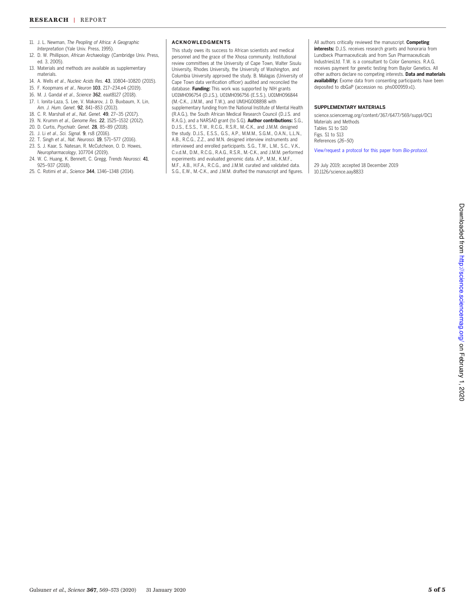- 11. J. L. Newman, *The Peopling of Africa: A Geographic Interpretation* (Yale Univ. Press, 1995).
- 12. D. W. Phillipson, *African Archaeology* (Cambridge Univ. Press, ed. 3, 2005).
- 13. Materials and methods are available as supplementary materials.
- 14. A. Wells *et al*., *Nucleic Acids Res.* 43, 10804–10820 (2015).
- 15. F. Koopmans *et al*., *Neuron* 103, 217–234.e4 (2019).
- 16. M. J. Gandal *et al*., *Science* 362, eaat8127 (2018).
- 17. I. Ionita-Laza, S. Lee, V. Makarov, J. D. Buxbaum, X. Lin, *Am. J. Hum. Genet.* 92, 841–853 (2013).
- 18. C. R. Marshall *et al*., *Nat. Genet.* 49, 27–35 (2017).
- 19. N. Krumm *et al*., *Genome Res.* 22, 1525–1532 (2012).
- 20. D. Curtis, *Psychiatr. Genet.* 28, 85–89 (2018).
- 21. J. Li *et al*., *Sci. Signal.* 9, rs8 (2016).
- 22. T. Singh *et al*., *Nat. Neurosci.* 19, 571–577 (2016).
- 23. S. J. Kaar, S. Natesan, R. McCutcheon, O. D. Howes,
- *Neuropharmacology*, 107704 (2019). 24. W. C. Huang, K. Bennett, C. Gregg, *Trends Neurosci.* 41, 925–937 (2018).
- 25. C. Rotimi *et al*., *Science* 344, 1346–1348 (2014).

## ACKNOWLEDGMENTS

This study owes its success to African scientists and medical personnel and the grace of the Xhosa community. Institutional review committees at the University of Cape Town, Walter Sisulu University, Rhodes University, the University of Washington, and Columbia University approved the study. B. Malagas (University of Cape Town data verification officer) audited and reconciled the database. Funding: This work was supported by NIH grants U01MH096754 (D.J.S.), U01MH096756 (E.S.S.), U01MH096844 (M.-C.K., J.M.M., and T.W.), and UM1HG008898 with supplementary funding from the National Institute of Mental Health (R.A.G.), the South African Medical Research Council (D.J.S. and R.A.G.), and a NARSAD grant (to S.G). Author contributions: S.G., D.J.S., E.S.S., T.W., R.C.G., R.S.R., M.-C.K., and J.M.M. designed the study. D.J.S., E.S.S., G.S., A.P., M.M.M., S.G.M., O.A.N., L.L.N., A.B., R.C.G., Z.Z., and M.N. designed interview instruments and interviewed and enrolled participants. S.G., T.W., L.M., S.C., V.K., C.v.d.M., D.M., R.C.G., R.A.G., R.S.R., M.-C.K., and J.M.M. performed experiments and evaluated genomic data. A.P., M.M., K.M.F., M.F., A.B., H.F.A., R.C.G., and J.M.M. curated and validated data. S.G., E.W., M.-C.K., and J.M.M. drafted the manuscript and figures. All authors critically reviewed the manuscript. Competing interests: D.J.S. receives research grants and honoraria from Lundbeck Pharmaceuticals and from Sun Pharmaceuticals IndustriesLtd. T.W. is a consultant to Color Genomics. R.A.G. receives payment for genetic testing from Baylor Genetics. All other authors declare no competing interests. Data and materials availability: Exome data from consenting participants have been deposited to dbGaP (accession no. phs000959.v1).

### SUPPLEMENTARY MATERIALS

science.sciencemag.org/content/367/6477/569/suppl/DC1 Materials and Methods Tables S1 to S10 Figs. S1 to S13 References (*26*–*50*)

View/request a protocol for this paper from *Bio-protocol*.

29 July 2019; accepted 18 December 2019 10.1126/science.aay8833